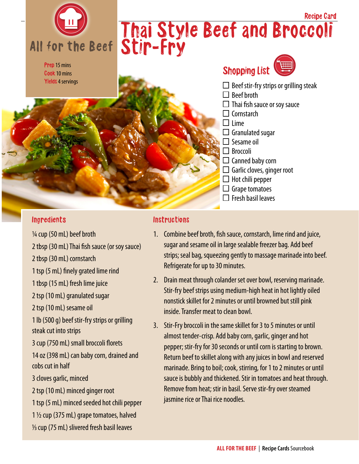

#### **Ingredients**

¼ cup (50 mL) beef broth

2 tbsp (30 mL) Thai fish sauce (or soy sauce)

2 tbsp (30 mL) cornstarch

1 tsp (5 mL) finely grated lime rind

1 tbsp (15 mL) fresh lime juice

2 tsp (10 mL) granulated sugar

2 tsp (10 mL) sesame oil

1 lb (500 g) beef stir-fry strips or grilling steak cut into strips

3 cup (750 mL) small broccoli florets

14 oz (398 mL) can baby corn, drained and cobs cut in half

3 cloves garlic, minced

2 tsp (10 mL) minced ginger root

1 tsp (5 mL) minced seeded hot chili pepper 1 ½ cup (375 mL) grape tomatoes, halved 1/3 cup (75 mL) slivered fresh basil leaves

### **Instructions**

- 1. Combine beef broth, fish sauce, cornstarch, lime rind and juice, sugar and sesame oil in large sealable freezer bag. Add beef strips; seal bag, squeezing gently to massage marinade into beef. Refrigerate for up to 30 minutes.
- 2. Drain meat through colander set over bowl, reserving marinade. Stir-fry beef strips using medium-high heat in hot lightly oiled nonstick skillet for 2 minutes or until browned but still pink inside. Transfer meat to clean bowl.
- 3. Stir-Fry broccoli in the same skillet for 3 to 5 minutes or until almost tender-crisp. Add baby corn, garlic, ginger and hot pepper; stir-fry for 30 seconds or until corn is starting to brown. Return beef to skillet along with any juices in bowl and reserved marinade. Bring to boil; cook, stirring, for 1 to 2 minutes or until sauce is bubbly and thickened. Stir in tomatoes and heat through. Remove from heat; stir in basil. Serve stir-fry over steamed jasmine rice or Thai rice noodles.